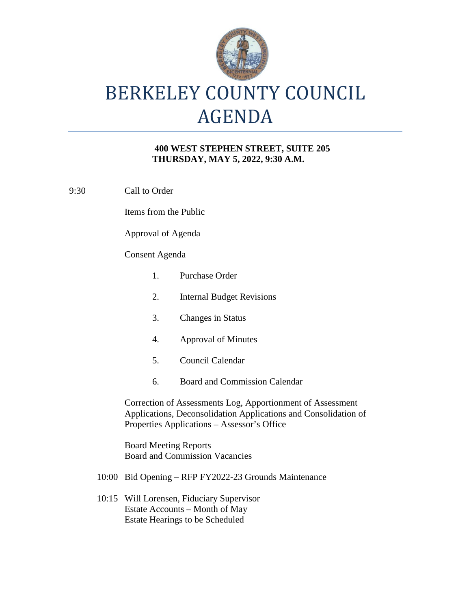

# BERKELEY COUNTY COUNCIL AGENDA

### **400 WEST STEPHEN STREET, SUITE 205 THURSDAY, MAY 5, 2022, 9:30 A.M.**

9:30 Call to Order

Items from the Public

Approval of Agenda

### Consent Agenda

- 1. Purchase Order 2. Internal Budget Revisions 3. Changes in Status 4. Approval of Minutes 5. Council Calendar 6. Board and Commission Calendar Correction of Assessments Log, Apportionment of Assessment Applications, Deconsolidation Applications and Consolidation of Properties Applications – Assessor's Office Board Meeting Reports Board and Commission Vacancies
- 10:00 Bid Opening RFP FY2022-23 Grounds Maintenance
- 10:15 Will Lorensen, Fiduciary Supervisor Estate Accounts – Month of May Estate Hearings to be Scheduled